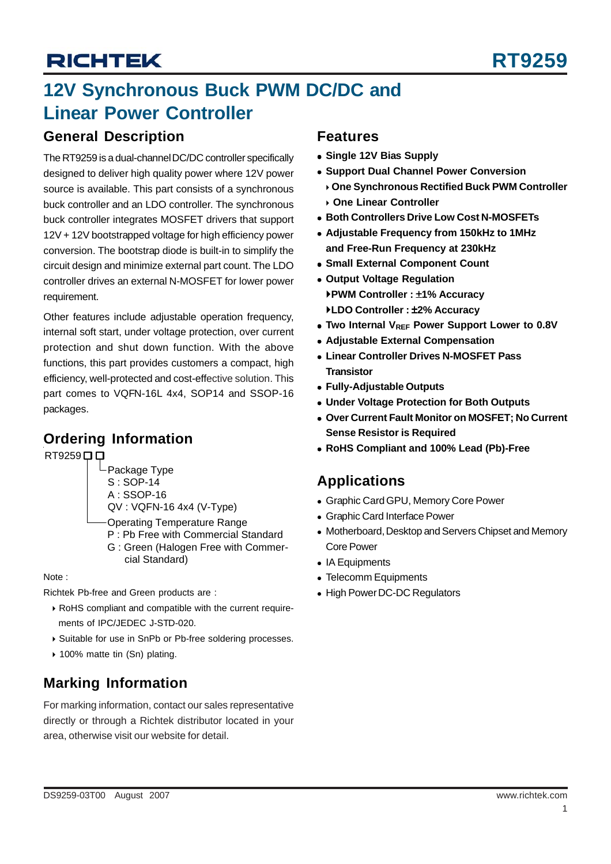## **12V Synchronous Buck PWM DC/DC and Linear Power Controller**

### **General Description**

The RT9259 is a dual-channel DC/DC controller specifically designed to deliver high quality power where 12V power source is available. This part consists of a synchronous buck controller and an LDO controller. The synchronous buck controller integrates MOSFET drivers that support 12V + 12V bootstrapped voltage for high efficiency power conversion. The bootstrap diode is built-in to simplify the circuit design and minimize external part count. The LDO controller drives an external N-MOSFET for lower power requirement.

Other features include adjustable operation frequency, internal soft start, under voltage protection, over current protection and shut down function. With the above functions, this part provides customers a compact, high efficiency, well-protected and cost-effective solution. This part comes to VQFN-16L 4x4, SOP14 and SSOP-16 packages.

## **Ordering Information**

RT9259<sup> $\Box$ </sup>

- $\mathsf{\mathord{\hspace{1pt}\textsf{--}}}$  Package Type S : SOP-14
- A : SSOP-16
- QV : VQFN-16 4x4 (V-Type)
- Operating Temperature Range
- P : Pb Free with Commercial Standard
- G : Green (Halogen Free with Commer cial Standard)

#### Note :

Richtek Pb-free and Green products are :

- ▶ RoHS compliant and compatible with the current requirements of IPC/JEDEC J-STD-020.
- ▶ Suitable for use in SnPb or Pb-free soldering processes.
- ▶ 100% matte tin (Sn) plating.

## **Marking Information**

For marking information, contact our sales representative directly or through a Richtek distributor located in your area, otherwise visit our website for detail.

### **Features**

- $\bullet$  **Single 12V Bias Supply**
- **Support Dual Channel Power Conversion** 
	- ` **One Synchronous Rectified Buck PWM Controller** ` **One Linear Controller**
- **Both Controllers Drive Low Cost N-MOSFETs**
- <sup>z</sup> **Adjustable Frequency from 150kHz to 1MHz and Free-Run Frequency at 230kHz**
- **Small External Component Count**
- **Output Voltage Regulation** `**PWM Controller :** ±**1% Accuracy** `**LDO Controller :** ±**2% Accuracy**
- Two Internal V<sub>RFF</sub> Power Support Lower to 0.8V
- **Adiustable External Compensation**
- <sup>z</sup> **Linear Controller Drives N-MOSFET Pass Transistor**
- <sup>z</sup> **Fully-Adjustable Outputs**
- **Under Voltage Protection for Both Outputs**
- **Over Current Fault Monitor on MOSFET: No Current Sense Resistor is Required**
- <sup>z</sup> **RoHS Compliant and 100% Lead (Pb)-Free**

## **Applications**

- Graphic Card GPU, Memory Core Power
- Graphic Card Interface Power
- Motherboard, Desktop and Servers Chipset and Memory Core Power
- IA Equipments
- Telecomm Equipments
- High Power DC-DC Regulators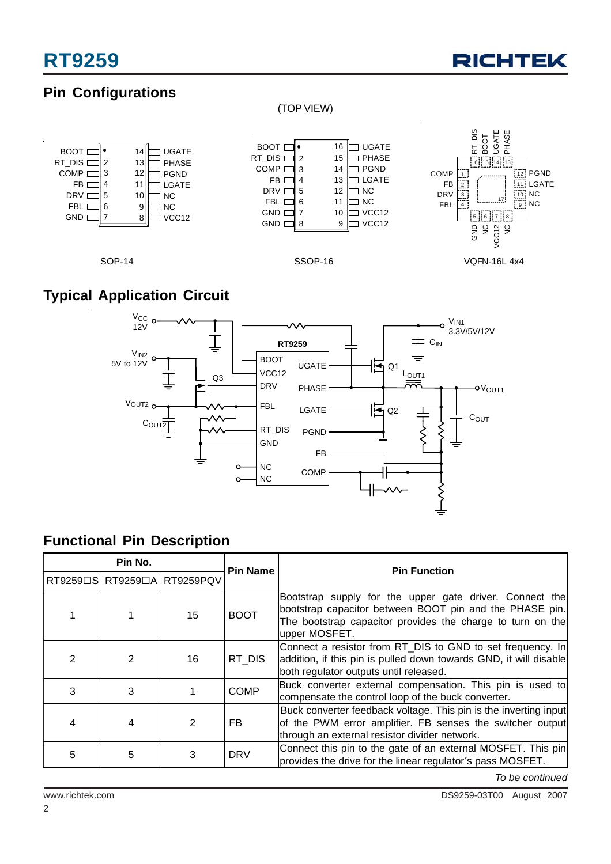

## **Pin Configurations**

### (TOP VIEW)



## **Typical Application Circuit**



## **Functional Pin Description**

| Pin No. |   |                             | <b>Pin Name</b> | <b>Pin Function</b>                                                                                                                                                                               |  |
|---------|---|-----------------------------|-----------------|---------------------------------------------------------------------------------------------------------------------------------------------------------------------------------------------------|--|
|         |   | RT9259□S RT9259□A RT9259PQV |                 |                                                                                                                                                                                                   |  |
|         |   | 15                          | <b>BOOT</b>     | Bootstrap supply for the upper gate driver. Connect the<br>bootstrap capacitor between BOOT pin and the PHASE pin.<br>The bootstrap capacitor provides the charge to turn on the<br>upper MOSFET. |  |
| 2       | 2 | 16                          | RT DIS          | Connect a resistor from RT_DIS to GND to set frequency. In<br>addition, if this pin is pulled down towards GND, it will disable<br>both regulator outputs until released.                         |  |
| 3       | 3 |                             | <b>COMP</b>     | Buck converter external compensation. This pin is used to<br>compensate the control loop of the buck converter.                                                                                   |  |
|         | 4 | 2                           | FB.             | Buck converter feedback voltage. This pin is the inverting input<br>of the PWM error amplifier. FB senses the switcher output<br>through an external resistor divider network.                    |  |
| 5       | 5 |                             | <b>DRV</b>      | Connect this pin to the gate of an external MOSFET. This pin<br>provides the drive for the linear regulator's pass MOSFET.                                                                        |  |

*To be continued*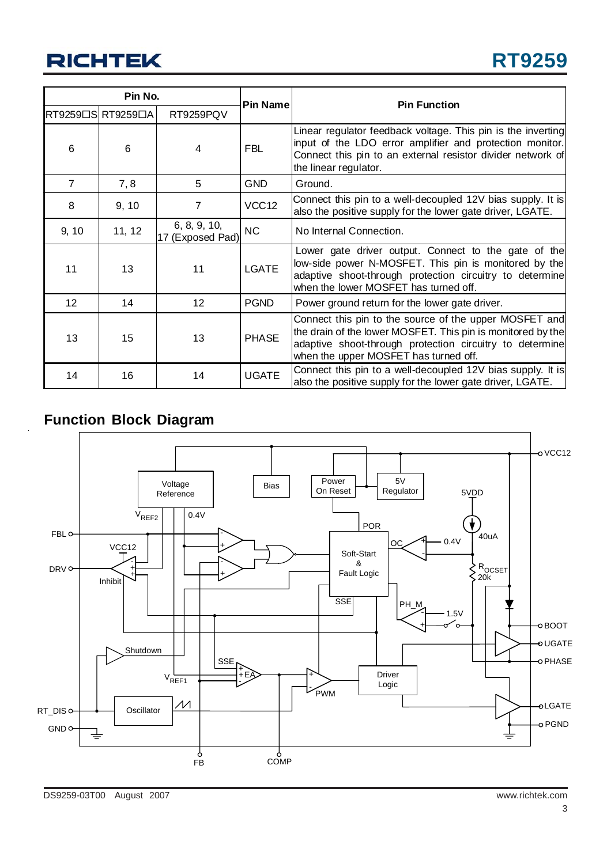| Pin No.         |                   |                                  |                   |                                                                                                                                                                                                                            |
|-----------------|-------------------|----------------------------------|-------------------|----------------------------------------------------------------------------------------------------------------------------------------------------------------------------------------------------------------------------|
|                 | RT9259□S RT9259□A | RT9259PQV                        | Pin Name          | <b>Pin Function</b>                                                                                                                                                                                                        |
| 6               | 6                 | 4                                | <b>FBL</b>        | Linear regulator feedback voltage. This pin is the inverting<br>input of the LDO error amplifier and protection monitor.<br>Connect this pin to an external resistor divider network of<br>the linear regulator.           |
| $\overline{7}$  | 7, 8              | 5                                | <b>GND</b>        | Ground.                                                                                                                                                                                                                    |
| 8               | 9, 10             | 7                                | VCC <sub>12</sub> | Connect this pin to a well-decoupled 12V bias supply. It is<br>also the positive supply for the lower gate driver, LGATE.                                                                                                  |
| 9, 10           | 11, 12            | 6, 8, 9, 10,<br>17 (Exposed Pad) | <b>NC</b>         | No Internal Connection.                                                                                                                                                                                                    |
| 11              | 13                | 11                               | <b>LGATE</b>      | Lower gate driver output. Connect to the gate of the<br>low-side power N-MOSFET. This pin is monitored by the<br>adaptive shoot-through protection circuitry to determine<br>when the lower MOSFET has turned off.         |
| 12 <sup>2</sup> | 14                | 12                               | <b>PGND</b>       | Power ground return for the lower gate driver.                                                                                                                                                                             |
| 13              | 15                | 13                               | <b>PHASE</b>      | Connect this pin to the source of the upper MOSFET and<br>the drain of the lower MOSFET. This pin is monitored by the<br>adaptive shoot-through protection circuitry to determine<br>when the upper MOSFET has turned off. |
| 14              | 16                | 14                               | <b>UGATE</b>      | Connect this pin to a well-decoupled 12V bias supply. It is<br>also the positive supply for the lower gate driver, LGATE.                                                                                                  |

### **Function Block Diagram**

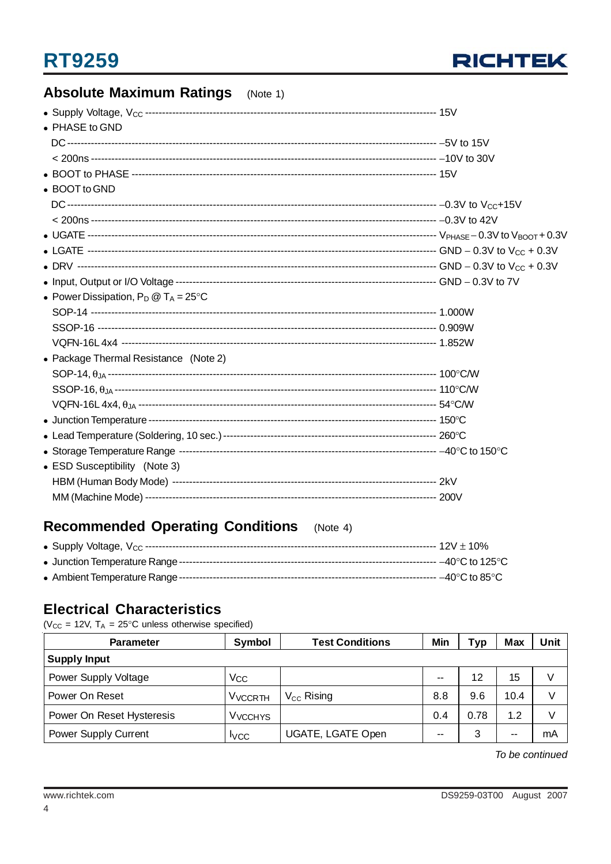

### **Absolute Maximum Ratings** (Note 1) • PHASE to GND • BOOT to GND • Power Dissipation,  $P_D @ T_A = 25^{\circ}C$ • Package Thermal Resistance (Note 2)

| • ESD Susceptibility (Note 3) |  |
|-------------------------------|--|
|                               |  |
|                               |  |

#### **Recommended Operating Conditions**  $(Note 4)$

### **Electrical Characteristics**

( $V_{CC}$  = 12V,  $T_A$  = 25°C unless otherwise specified)

| <b>Parameter</b>          | Symbol                    | <b>Test Conditions</b>   | Min           | Тур  | Max  | Unit |
|---------------------------|---------------------------|--------------------------|---------------|------|------|------|
| <b>Supply Input</b>       |                           |                          |               |      |      |      |
| Power Supply Voltage      | Vcc                       |                          | --            | 12   | 15   | V    |
| Power On Reset            | <b>V<sub>VCCRTH</sub></b> | $V_{CC}$ Rising          | 8.8           | 9.6  | 10.4 | V    |
| Power On Reset Hysteresis | <b>V<sub>VCCHYS</sub></b> |                          | 0.4           | 0.78 | 1.2  | V    |
| Power Supply Current      | <b>I</b> VCC              | <b>UGATE, LGATE Open</b> | $\sim$ $\sim$ | 3    | --   | mA   |

To be continued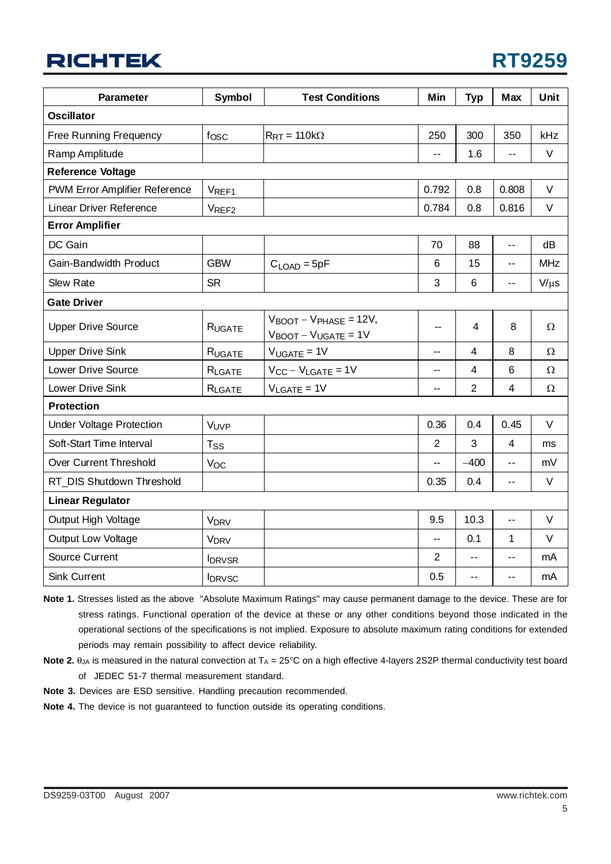| <b>RT9259</b> |  |  |
|---------------|--|--|
|               |  |  |

| <b>Parameter</b>                | Symbol                 | <b>Test Conditions</b>                                                                    | Min            | <b>Typ</b>              | <b>Max</b>              | Unit       |  |
|---------------------------------|------------------------|-------------------------------------------------------------------------------------------|----------------|-------------------------|-------------------------|------------|--|
| <b>Oscillator</b>               |                        |                                                                                           |                |                         |                         |            |  |
| <b>Free Running Frequency</b>   | fosc                   | $R_{RT} = 110k\Omega$                                                                     | 250            | 300                     | 350                     | kHz        |  |
| Ramp Amplitude                  |                        |                                                                                           | $ -$           | 1.6                     | $\overline{a}$          | $\vee$     |  |
| <b>Reference Voltage</b>        |                        |                                                                                           |                |                         |                         |            |  |
| PWM Error Amplifier Reference   | VREF1                  |                                                                                           | 0.792          | 0.8                     | 0.808                   | $\vee$     |  |
| Linear Driver Reference         | VREF <sub>2</sub>      |                                                                                           | 0.784          | 0.8                     | 0.816                   | V          |  |
| <b>Error Amplifier</b>          |                        |                                                                                           |                |                         |                         |            |  |
| DC Gain                         |                        |                                                                                           | 70             | 88                      | $-$                     | dB         |  |
| Gain-Bandwidth Product          | <b>GBW</b>             | $C_{\text{LOAD}} = 5pF$                                                                   | 6              | 15                      | $\overline{a}$          | <b>MHz</b> |  |
| <b>Slew Rate</b>                | <b>SR</b>              |                                                                                           | 3              | 6                       | --                      | $V/\mu s$  |  |
| <b>Gate Driver</b>              |                        |                                                                                           |                |                         |                         |            |  |
| <b>Upper Drive Source</b>       | RUGATE                 | $V_{\text{BOOT}} - V_{\text{PHASE}} = 12V$ ,<br>$V_{\text{BOOT}} - V_{\text{UGATE}} = 1V$ | --             | 4                       | 8                       | Ω          |  |
| <b>Upper Drive Sink</b>         | RUGATE                 | $V_{UGATE} = 1V$                                                                          | --             | $\overline{\mathbf{4}}$ | 8                       | Ω          |  |
| Lower Drive Source              | RLGATE                 | $V_{CC} - V_{LGATE} = 1V$                                                                 | --             | $\overline{4}$          | $6\phantom{1}6$         | Ω          |  |
| Lower Drive Sink                | RLGATE                 | $V_{LGATE} = 1V$                                                                          | --             | $\overline{2}$          | $\overline{\mathbf{4}}$ | $\Omega$   |  |
| <b>Protection</b>               |                        |                                                                                           |                |                         |                         |            |  |
| <b>Under Voltage Protection</b> | VUVP                   |                                                                                           | 0.36           | 0.4                     | 0.45                    | $\vee$     |  |
| Soft-Start Time Interval        | $T_{SS}$               |                                                                                           | $\overline{2}$ | 3                       | 4                       | ms         |  |
| <b>Over Current Threshold</b>   | Voc                    |                                                                                           | --             | $-400$                  | $\overline{a}$          | mV         |  |
| RT_DIS Shutdown Threshold       |                        |                                                                                           | 0.35           | 0.4                     | $-$                     | $\vee$     |  |
| <b>Linear Regulator</b>         |                        |                                                                                           |                |                         |                         |            |  |
| Output High Voltage             | <b>V<sub>DRV</sub></b> |                                                                                           | 9.5            | 10.3                    | $-$                     | V          |  |
| <b>Output Low Voltage</b>       | <b>V<sub>DRV</sub></b> |                                                                                           | --             | 0.1                     | $\mathbf 1$             | V          |  |
| Source Current                  | <b>IDRVSR</b>          |                                                                                           | $\overline{2}$ | $-1$                    |                         | mA         |  |
| <b>Sink Current</b>             | <b>IDRVSC</b>          |                                                                                           | 0.5            | ۰.                      | --                      | mA         |  |

**Note 1.** Stresses listed as the above "Absolute Maximum Ratings" may cause permanent damage to the device. These are for stress ratings. Functional operation of the device at these or any other conditions beyond those indicated in the operational sections of the specifications is not implied. Exposure to absolute maximum rating conditions for extended periods may remain possibility to affect device reliability.

- **Note 2.**  $\theta_{JA}$  is measured in the natural convection at  $T_A = 25^{\circ}C$  on a high effective 4-layers 2S2P thermal conductivity test board of JEDEC 51-7 thermal measurement standard.
- **Note 3.** Devices are ESD sensitive. Handling precaution recommended.
- **Note 4.** The device is not guaranteed to function outside its operating conditions.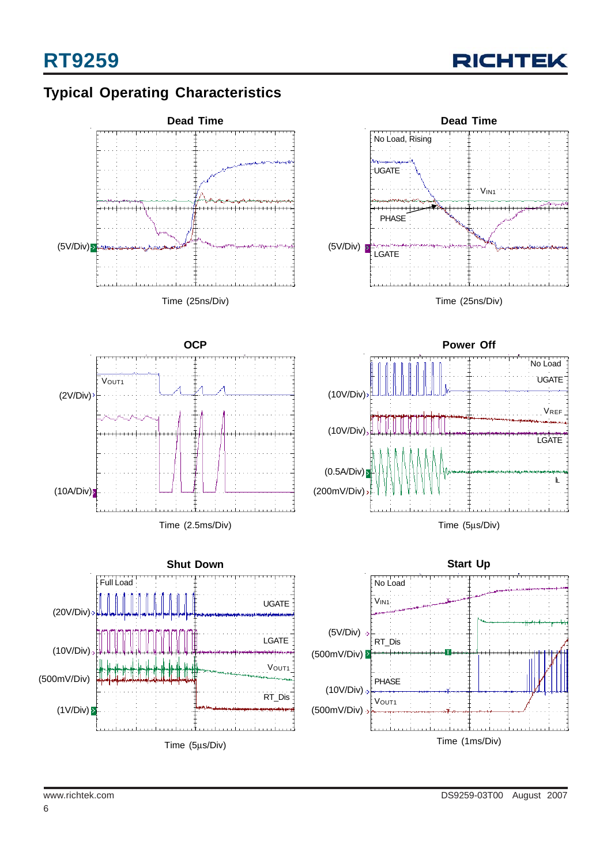

## **Typical Operating Characteristics**

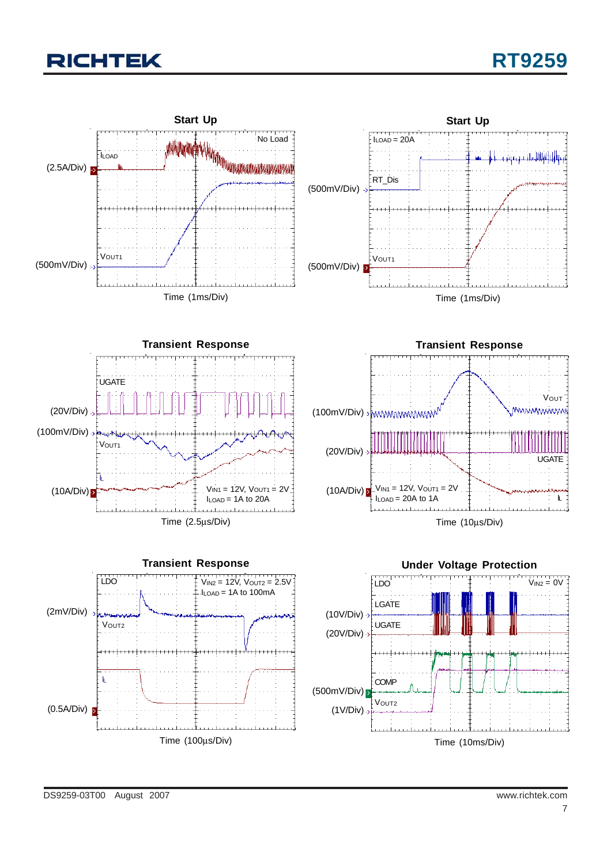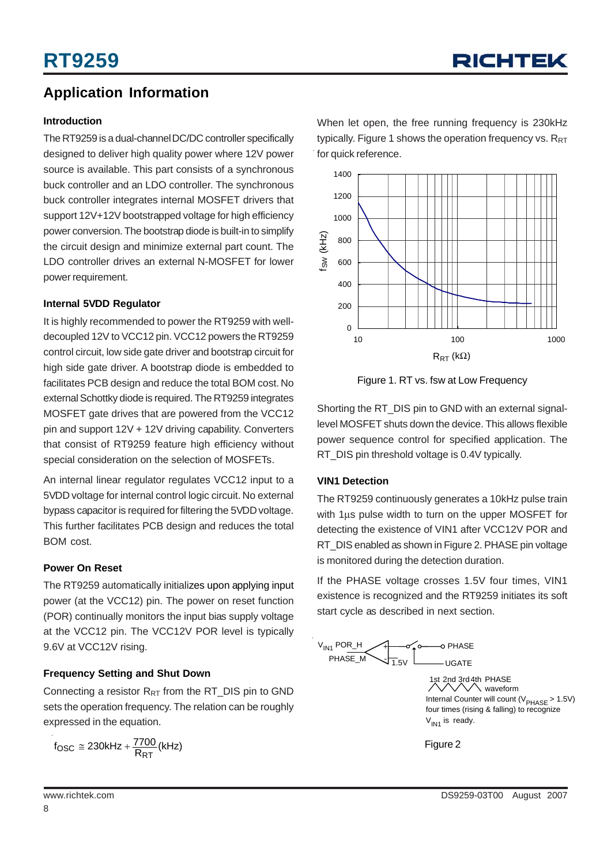### **Application Information**

#### **Introduction**

The RT9259 is a dual-channel DC/DC controller specifically designed to deliver high quality power where 12V power source is available. This part consists of a synchronous buck controller and an LDO controller. The synchronous buck controller integrates internal MOSFET drivers that support 12V+12V bootstrapped voltage for high efficiency power conversion. The bootstrap diode is built-in to simplify the circuit design and minimize external part count. The LDO controller drives an external N-MOSFET for lower power requirement.

#### **Internal 5VDD Regulator**

It is highly recommended to power the RT9259 with welldecoupled 12V to VCC12 pin. VCC12 powers the RT9259 control circuit, low side gate driver and bootstrap circuit for high side gate driver. A bootstrap diode is embedded to facilitates PCB design and reduce the total BOM cost. No external Schottky diode is required. The RT9259 integrates MOSFET gate drives that are powered from the VCC12 pin and support 12V + 12V driving capability. Converters that consist of RT9259 feature high efficiency without special consideration on the selection of MOSFETs.

An internal linear regulator regulates VCC12 input to a 5VDD voltage for internal control logic circuit. No external bypass capacitor is required for filtering the 5VDD voltage. This further facilitates PCB design and reduces the total BOM cost.

#### **Power On Reset**

The RT9259 automatically initializes upon applying input power (at the VCC12) pin. The power on reset function (POR) continually monitors the input bias supply voltage at the VCC12 pin. The VCC12V POR level is typically 9.6V at VCC12V rising.

#### **Frequency Setting and Shut Down**

Connecting a resistor  $R_{RT}$  from the RT\_DIS pin to GND sets the operation frequency. The relation can be roughly expressed in the equation.

 $f_{\text{OSC}} \cong 230$ kHz +  $\frac{7700}{R_{\text{RT}}}$ (kHz)

When let open, the free running frequency is 230kHz typically. Figure 1 shows the operation frequency vs.  $R_{RT}$ for quick reference.



Figure 1. RT vs. fsw at Low Frequency

Shorting the RT\_DIS pin to GND with an external signallevel MOSFET shuts down the device. This allows flexible power sequence control for specified application. The RT DIS pin threshold voltage is 0.4V typically.

#### **VIN1 Detection**

The RT9259 continuously generates a 10kHz pulse train with 1μs pulse width to turn on the upper MOSFET for detecting the existence of VIN1 after VCC12V POR and RT DIS enabled as shown in Figure 2. PHASE pin voltage is monitored during the detection duration.

If the PHASE voltage crosses 1.5V four times, VIN1 existence is recognized and the RT9259 initiates its soft start cycle as described in next section.

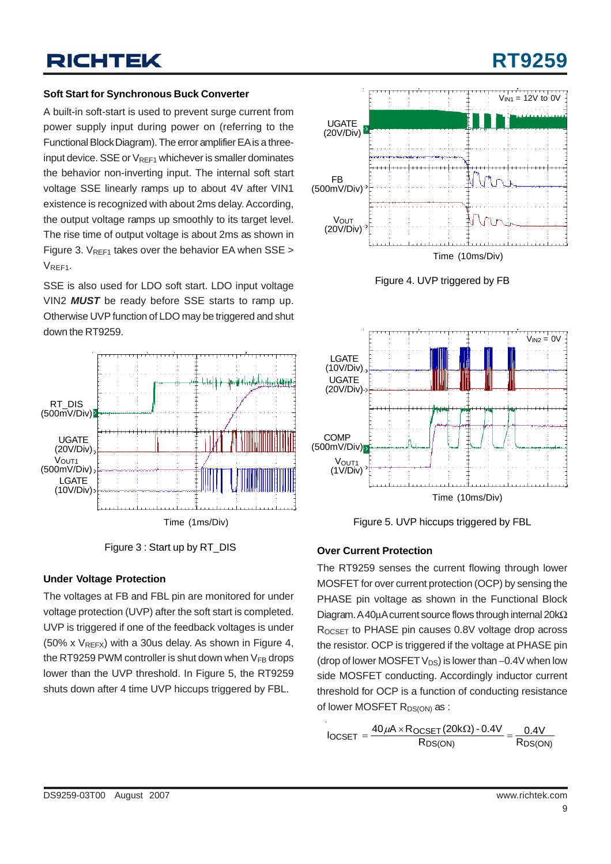# **RT9259**

#### **Soft Start for Synchronous Buck Converter**

A built-in soft-start is used to prevent surge current from power supply input during power on (referring to the Functional Block Diagram). The error amplifier EA is a threeinput device. SSE or  $V_{RFF1}$  whichever is smaller dominates the behavior non-inverting input. The internal soft start voltage SSE linearly ramps up to about 4V after VIN1 existence is recognized with about 2ms delay. According, the output voltage ramps up smoothly to its target level. The rise time of output voltage is about 2ms as shown in Figure 3.  $V_{RFF1}$  takes over the behavior EA when SSE >  $V_{RFF1}$ .

SSE is also used for LDO soft start. LDO input voltage VIN2 *MUST* be ready before SSE starts to ramp up. Otherwise UVP function of LDO may be triggered and shut down the RT9259.





#### **Under Voltage Protection**

The voltages at FB and FBL pin are monitored for under voltage protection (UVP) after the soft start is completed. UVP is triggered if one of the feedback voltages is under (50% x  $V_{REFX}$ ) with a 30us delay. As shown in Figure 4, the RT9259 PWM controller is shut down when  $V_{FB}$  drops lower than the UVP threshold. In Figure 5, the RT9259 shuts down after 4 time UVP hiccups triggered by FBL.







Figure 5. UVP hiccups triggered by FBL

#### **Over Current Protection**

The RT9259 senses the current flowing through lower MOSFET for over current protection (OCP) by sensing the PHASE pin voltage as shown in the Functional Block Diagram. A 40μA current source flows through internal 20kΩ ROCSET to PHASE pin causes 0.8V voltage drop across the resistor. OCP is triggered if the voltage at PHASE pin (drop of lower MOSFET  $V_{DS}$ ) is lower than  $-0.4V$  when low side MOSFET conducting. Accordingly inductor current threshold for OCP is a function of conducting resistance of lower MOSFET R<sub>DS(ON)</sub> as :

$$
I_{OCSET} = \frac{40\,\mu\text{A} \times \text{ROCSET}\left(20\text{k}\Omega\right) - 0.4\text{V}}{\text{R}_{DS(ON)}} = \frac{0.4\text{V}}{\text{R}_{DS(ON)}}
$$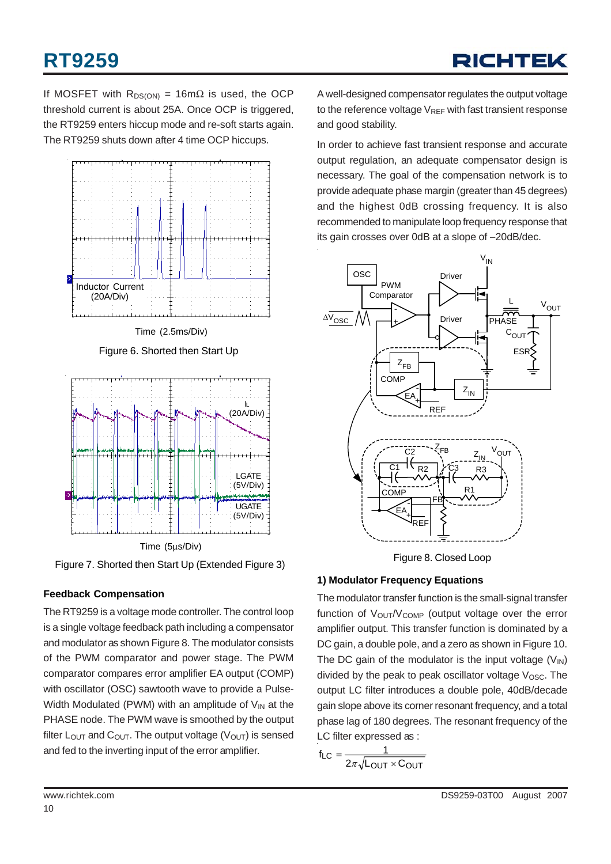# **RT9259**

If MOSFET with  $R_{DS(ON)} = 16 \text{m}\Omega$  is used, the OCP threshold current is about 25A. Once OCP is triggered. the RT9259 enters hiccup mode and re-soft starts again. The RT9259 shuts down after 4 time OCP hiccups.



Figure 6. Shorted then Start Up



Figure 7. Shorted then Start Up (Extended Figure 3)

### **Feedback Compensation**

The RT9259 is a voltage mode controller. The control loop is a single voltage feedback path including a compensator and modulator as shown Figure 8. The modulator consists of the PWM comparator and power stage. The PWM comparator compares error amplifier EA output (COMP) with oscillator (OSC) sawtooth wave to provide a Pulse-Width Modulated (PWM) with an amplitude of  $V_{IN}$  at the PHASE node. The PWM wave is smoothed by the output filter  $L_{\text{OUT}}$  and  $C_{\text{OUT}}$ . The output voltage ( $V_{\text{OUT}}$ ) is sensed and fed to the inverting input of the error amplifier.

A well-designed compensator regulates the output voltage to the reference voltage  $V_{REF}$  with fast transient response and good stability.

In order to achieve fast transient response and accurate output regulation, an adequate compensator design is necessary. The goal of the compensation network is to provide adequate phase margin (greater than 45 degrees) and the highest 0dB crossing frequency. It is also recommended to manipulate loop frequency response that its gain crosses over 0dB at a slope of −20dB/dec.



Figure 8. Closed Loop

### **1) Modulator Frequency Equations**

The modulator transfer function is the small-signal transfer function of  $V_{\text{OUT}}/V_{\text{COMP}}$  (output voltage over the error amplifier output. This transfer function is dominated by a DC gain, a double pole, and a zero as shown in Figure 10. The DC gain of the modulator is the input voltage  $(V_{\text{IN}})$ divided by the peak to peak oscillator voltage  $V_{\text{OSC}}$ . The output LC filter introduces a double pole, 40dB/decade gain slope above its corner resonant frequency, and a total phase lag of 180 degrees. The resonant frequency of the LC filter expressed as :

$$
f_{LC} = \frac{1}{2\pi\sqrt{L_{OUT} \times C_{OUT}}}
$$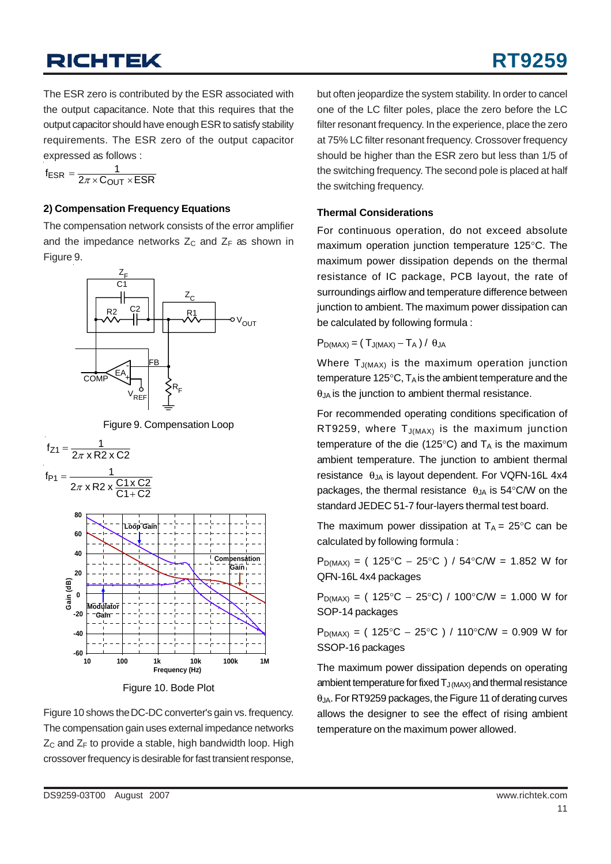The ESR zero is contributed by the ESR associated with the output capacitance. Note that this requires that the output capacitor should have enough ESR to satisfy stability requirements. The ESR zero of the output capacitor expressed as follows :

 $f_{ESR} = \frac{1}{2\pi \times C_{OUT} \times ESR}$ 

#### **2) Compensation Frequency Equations**

The compensation network consists of the error amplifier and the impedance networks  $Z_c$  and  $Z_F$  as shown in Figure 9.







Figure 10. Bode Plot

Figure 10 shows the DC-DC converter's gain vs. frequency. The compensation gain uses external impedance networks  $Z_C$  and  $Z_F$  to provide a stable, high bandwidth loop. High crossover frequency is desirable for fast transient response, but often jeopardize the system stability. In order to cancel one of the LC filter poles, place the zero before the LC filter resonant frequency. In the experience, place the zero at 75% LC filter resonant frequency. Crossover frequency should be higher than the ESR zero but less than 1/5 of the switching frequency. The second pole is placed at half the switching frequency.

#### **Thermal Considerations**

For continuous operation, do not exceed absolute maximum operation junction temperature 125°C. The maximum power dissipation depends on the thermal resistance of IC package, PCB layout, the rate of surroundings airflow and temperature difference between junction to ambient. The maximum power dissipation can be calculated by following formula :

$$
P_{D(MAX)} = (T_{J(MAX)} - T_A) / \theta_{JA}
$$

Where  $T_{J(MAX)}$  is the maximum operation junction temperature 125 $\degree$ C, T<sub>A</sub> is the ambient temperature and the  $\theta_{JA}$  is the junction to ambient thermal resistance.

For recommended operating conditions specification of RT9259, where  $T_{J(MAX)}$  is the maximum junction temperature of the die (125 $\degree$ C) and T<sub>A</sub> is the maximum ambient temperature. The junction to ambient thermal resistance  $\theta_{JA}$  is layout dependent. For VQFN-16L 4x4 packages, the thermal resistance  $\theta_{JA}$  is 54°C/W on the standard JEDEC 51-7 four-layers thermal test board.

The maximum power dissipation at  $T_A = 25^{\circ}$ C can be calculated by following formula :

 $P_{D(MAX)} = (125^{\circ}C - 25^{\circ}C) / 54^{\circ}C/W = 1.852 W$  for QFN-16L 4x4 packages

 $P_{D(MAX)} = (125°C - 25°C) / 100°C/W = 1.000 W for$ SOP-14 packages

 $P_{D(MAX)} = (125°C - 25°C) / 110°C/W = 0.909 W for$ SSOP-16 packages

The maximum power dissipation depends on operating ambient temperature for fixed  $T_{J(MAX)}$  and thermal resistance θJA. For RT9259 packages, the Figure 11 of derating curves allows the designer to see the effect of rising ambient temperature on the maximum power allowed.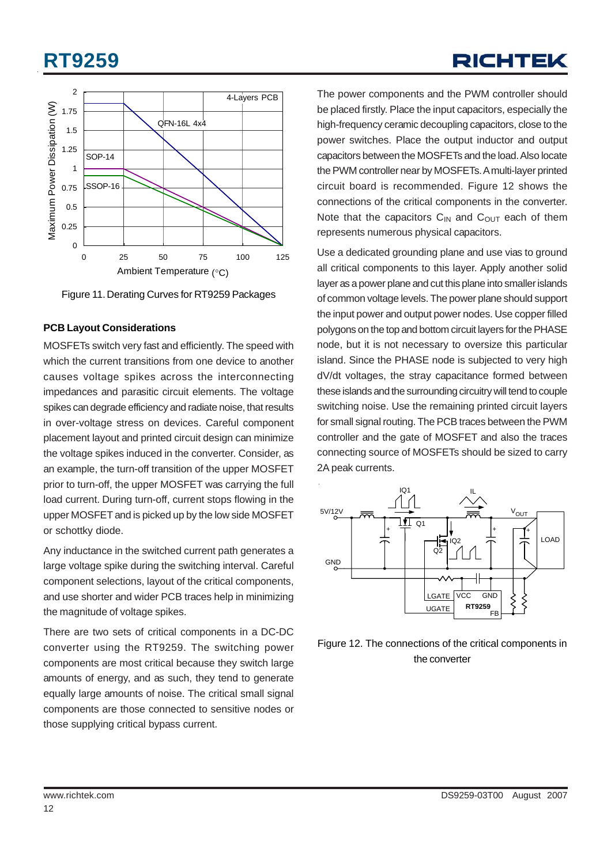# **RT9259**





Figure 11. Derating Curves for RT9259 Packages

#### **PCB Layout Considerations**

MOSFETs switch very fast and efficiently. The speed with which the current transitions from one device to another causes voltage spikes across the interconnecting impedances and parasitic circuit elements. The voltage spikes can degrade efficiency and radiate noise, that results in over-voltage stress on devices. Careful component placement layout and printed circuit design can minimize the voltage spikes induced in the converter. Consider, as an example, the turn-off transition of the upper MOSFET prior to turn-off, the upper MOSFET was carrying the full load current. During turn-off, current stops flowing in the upper MOSFET and is picked up by the low side MOSFET or schottky diode.

Any inductance in the switched current path generates a large voltage spike during the switching interval. Careful component selections, layout of the critical components, and use shorter and wider PCB traces help in minimizing the magnitude of voltage spikes.

There are two sets of critical components in a DC-DC converter using the RT9259. The switching power components are most critical because they switch large amounts of energy, and as such, they tend to generate equally large amounts of noise. The critical small signal components are those connected to sensitive nodes or those supplying critical bypass current.

The power components and the PWM controller should be placed firstly. Place the input capacitors, especially the high-frequency ceramic decoupling capacitors, close to the power switches. Place the output inductor and output capacitors between the MOSFETs and the load. Also locate the PWM controller near by MOSFETs. A multi-layer printed circuit board is recommended. Figure 12 shows the connections of the critical components in the converter. Note that the capacitors  $C_{IN}$  and  $C_{OUT}$  each of them represents numerous physical capacitors.

Use a dedicated grounding plane and use vias to ground all critical components to this layer. Apply another solid layer as a power plane and cut this plane into smaller islands of common voltage levels. The power plane should support the input power and output power nodes. Use copper filled polygons on the top and bottom circuit layers for the PHASE node, but it is not necessary to oversize this particular island. Since the PHASE node is subjected to very high dV/dt voltages, the stray capacitance formed between these islands and the surrounding circuitry will tend to couple switching noise. Use the remaining printed circuit layers for small signal routing. The PCB traces between the PWM controller and the gate of MOSFET and also the traces connecting source of MOSFETs should be sized to carry 2A peak currents.



Figure 12. The connections of the critical components in the converter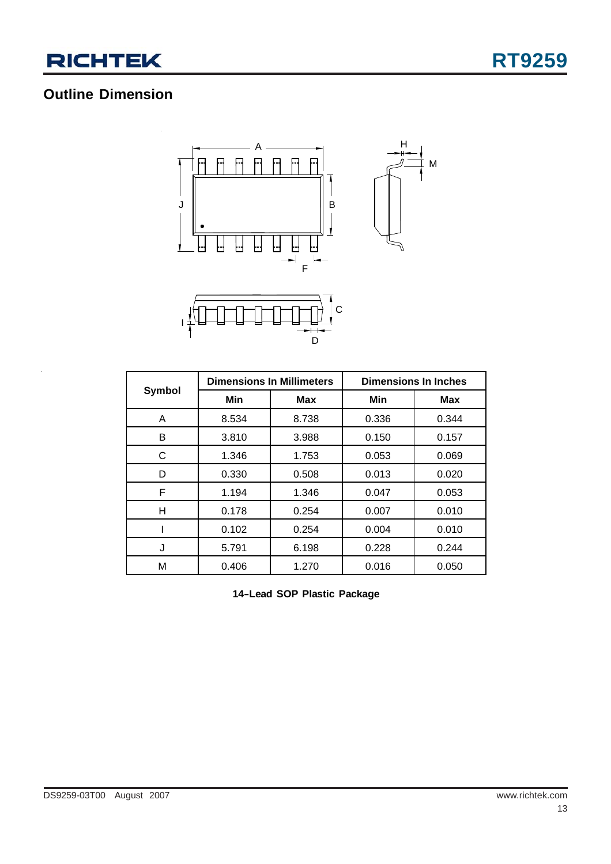

## **Outline Dimension**



|        |       | <b>Dimensions In Millimeters</b> | <b>Dimensions In Inches</b> |            |  |
|--------|-------|----------------------------------|-----------------------------|------------|--|
| Symbol | Min   | <b>Max</b>                       | Min                         | <b>Max</b> |  |
| A      | 8.534 | 8.738                            | 0.336                       | 0.344      |  |
| В      | 3.810 | 3.988                            | 0.150                       | 0.157      |  |
| C      | 1.346 | 1.753                            | 0.053                       | 0.069      |  |
| D      | 0.330 | 0.508                            | 0.013                       | 0.020      |  |
| F      | 1.194 | 1.346                            | 0.047                       | 0.053      |  |
| н      | 0.178 | 0.254                            | 0.007                       | 0.010      |  |
|        | 0.102 | 0.254                            | 0.004                       | 0.010      |  |
| J      | 5.791 | 6.198                            | 0.228                       | 0.244      |  |
| M      | 0.406 | 1.270                            | 0.016                       | 0.050      |  |

**14–Lead SOP Plastic Package**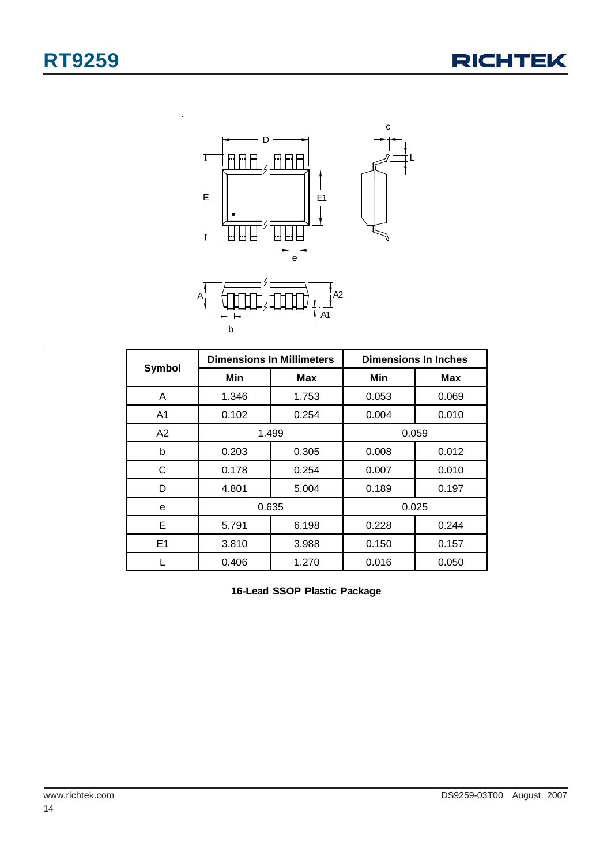



|                |       | <b>Dimensions In Millimeters</b> | <b>Dimensions In Inches</b> |       |  |
|----------------|-------|----------------------------------|-----------------------------|-------|--|
| <b>Symbol</b>  | Min   | Max                              | Min                         | Max   |  |
| A              | 1.346 | 1.753                            | 0.053                       | 0.069 |  |
| A1             | 0.102 | 0.254                            | 0.004                       | 0.010 |  |
| A2             |       | 1.499                            | 0.059                       |       |  |
| b              | 0.203 | 0.305                            | 0.008                       | 0.012 |  |
| С              | 0.178 | 0.254                            | 0.007                       | 0.010 |  |
| D              | 4.801 | 5.004                            | 0.189                       | 0.197 |  |
| e              | 0.635 |                                  | 0.025                       |       |  |
| E              | 5.791 | 6.198                            | 0.228                       | 0.244 |  |
| E <sub>1</sub> | 3.810 | 3.988                            | 0.150                       | 0.157 |  |
|                | 0.406 | 1.270                            | 0.016                       | 0.050 |  |

**16-Lead SSOP Plastic Package**